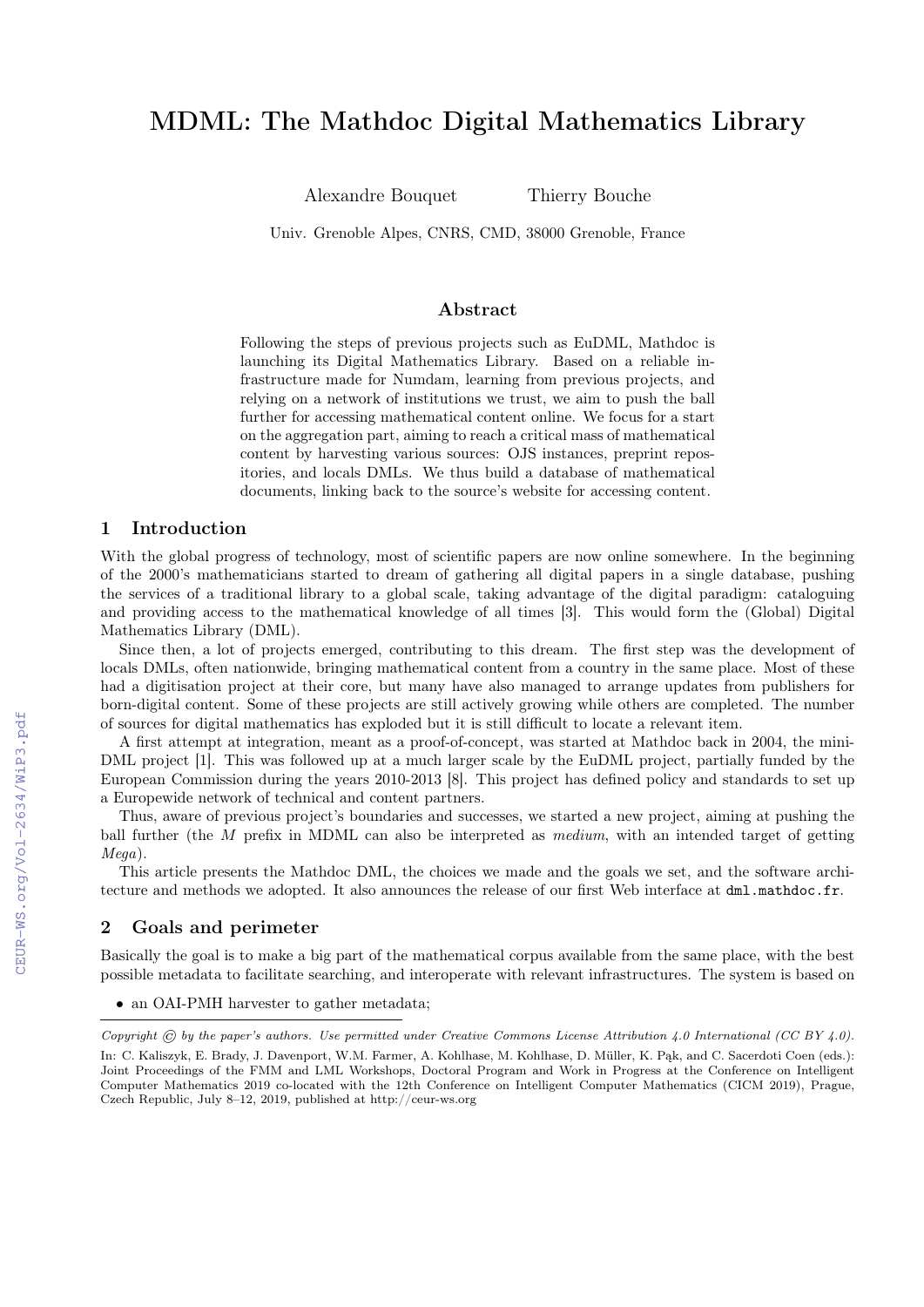# MDML: The Mathdoc Digital Mathematics Library

Alexandre Bouquet Thierry Bouche

Univ. Grenoble Alpes, CNRS, CMD, 38000 Grenoble, France

#### Abstract

Following the steps of previous projects such as EuDML, Mathdoc is launching its Digital Mathematics Library. Based on a reliable infrastructure made for Numdam, learning from previous projects, and relying on a network of institutions we trust, we aim to push the ball further for accessing mathematical content online. We focus for a start on the aggregation part, aiming to reach a critical mass of mathematical content by harvesting various sources: OJS instances, preprint repositories, and locals DMLs. We thus build a database of mathematical documents, linking back to the source's website for accessing content.

## 1 Introduction

With the global progress of technology, most of scientific papers are now online somewhere. In the beginning of the 2000's mathematicians started to dream of gathering all digital papers in a single database, pushing the services of a traditional library to a global scale, taking advantage of the digital paradigm: cataloguing and providing access to the mathematical knowledge of all times [3]. This would form the (Global) Digital Mathematics Library (DML).

Since then, a lot of projects emerged, contributing to this dream. The first step was the development of locals DMLs, often nationwide, bringing mathematical content from a country in the same place. Most of these had a digitisation project at their core, but many have also managed to arrange updates from publishers for born-digital content. Some of these projects are still actively growing while others are completed. The number of sources for digital mathematics has exploded but it is still difficult to locate a relevant item.

A first attempt at integration, meant as a proof-of-concept, was started at Mathdoc back in 2004, the mini-DML project [1]. This was followed up at a much larger scale by the EuDML project, partially funded by the European Commission during the years 2010-2013 [8]. This project has defined policy and standards to set up a Europewide network of technical and content partners.

Thus, aware of previous project's boundaries and successes, we started a new project, aiming at pushing the ball further (the M prefix in MDML can also be interpreted as medium, with an intended target of getting Mega).

This article presents the Mathdoc DML, the choices we made and the goals we set, and the software architecture and methods we adopted. It also announces the release of our first Web interface at dml.mathdoc.fr.

#### 2 Goals and perimeter

Basically the goal is to make a big part of the mathematical corpus available from the same place, with the best possible metadata to facilitate searching, and interoperate with relevant infrastructures. The system is based on

<sup>•</sup> an OAI-PMH harvester to gather metadata;

Copyright  $\odot$  by the paper's authors. Use permitted under Creative Commons License Attribution 4.0 International (CC BY 4.0). In: C. Kaliszyk, E. Brady, J. Davenport, W.M. Farmer, A. Kohlhase, M. Kohlhase, D. Müller, K. Pąk, and C. Sacerdoti Coen (eds.): Joint Proceedings of the FMM and LML Workshops, Doctoral Program and Work in Progress at the Conference on Intelligent Computer Mathematics 2019 co-located with the 12th Conference on Intelligent Computer Mathematics (CICM 2019), Prague, Czech Republic, July 8–12, 2019, published at http://ceur-ws.org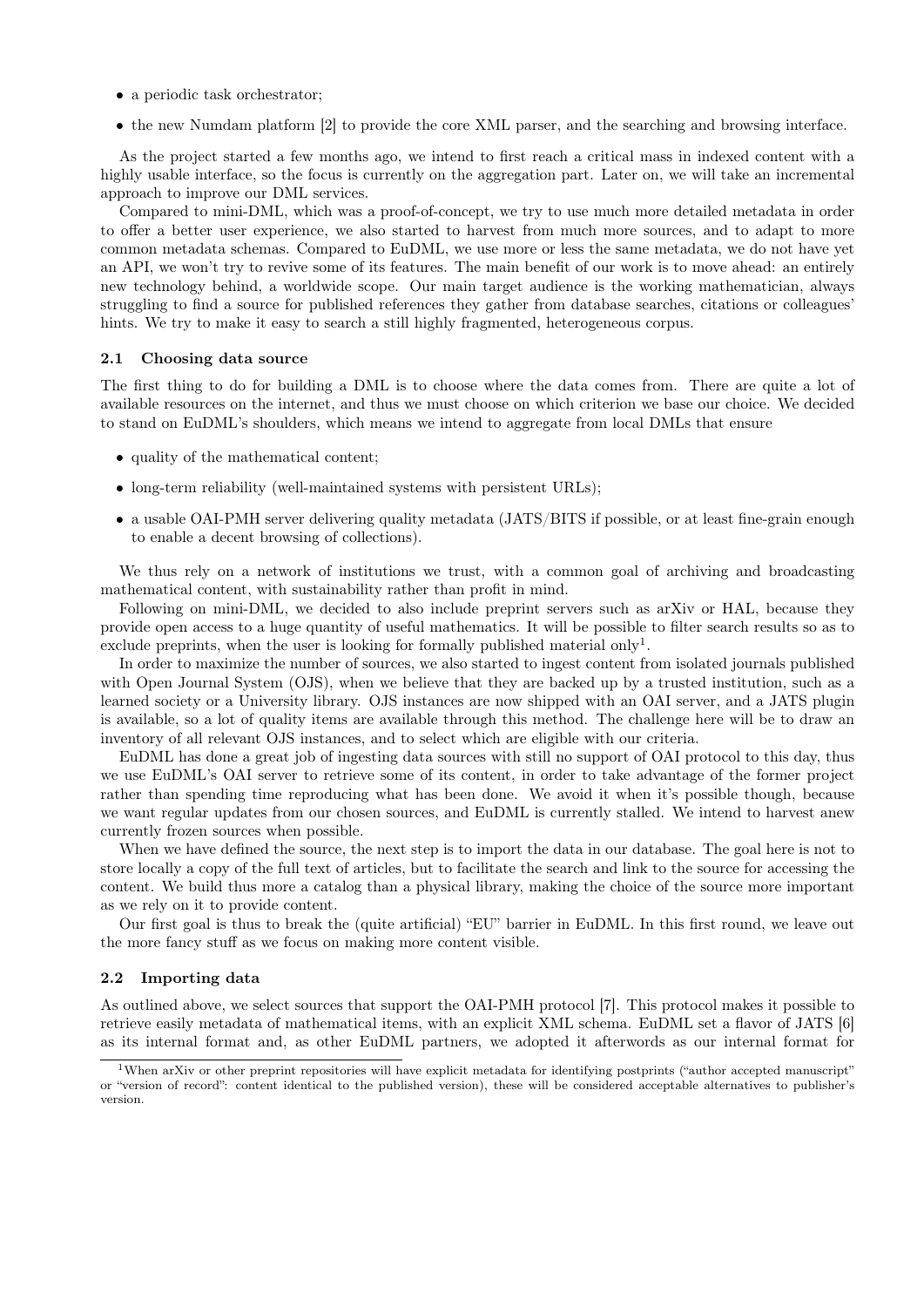- a periodic task orchestrator;
- the new Numdam platform [2] to provide the core XML parser, and the searching and browsing interface.

As the project started a few months ago, we intend to first reach a critical mass in indexed content with a highly usable interface, so the focus is currently on the aggregation part. Later on, we will take an incremental approach to improve our DML services.

Compared to mini-DML, which was a proof-of-concept, we try to use much more detailed metadata in order to offer a better user experience, we also started to harvest from much more sources, and to adapt to more common metadata schemas. Compared to EuDML, we use more or less the same metadata, we do not have yet an API, we won't try to revive some of its features. The main benefit of our work is to move ahead: an entirely new technology behind, a worldwide scope. Our main target audience is the working mathematician, always struggling to find a source for published references they gather from database searches, citations or colleagues' hints. We try to make it easy to search a still highly fragmented, heterogeneous corpus.

#### 2.1 Choosing data source

The first thing to do for building a DML is to choose where the data comes from. There are quite a lot of available resources on the internet, and thus we must choose on which criterion we base our choice. We decided to stand on EuDML's shoulders, which means we intend to aggregate from local DMLs that ensure

- quality of the mathematical content;
- long-term reliability (well-maintained systems with persistent URLs);
- a usable OAI-PMH server delivering quality metadata (JATS/BITS if possible, or at least fine-grain enough to enable a decent browsing of collections).

We thus rely on a network of institutions we trust, with a common goal of archiving and broadcasting mathematical content, with sustainability rather than profit in mind.

Following on mini-DML, we decided to also include preprint servers such as arXiv or HAL, because they provide open access to a huge quantity of useful mathematics. It will be possible to filter search results so as to exclude preprints, when the user is looking for formally published material only<sup>1</sup>.

In order to maximize the number of sources, we also started to ingest content from isolated journals published with Open Journal System (OJS), when we believe that they are backed up by a trusted institution, such as a learned society or a University library. OJS instances are now shipped with an OAI server, and a JATS plugin is available, so a lot of quality items are available through this method. The challenge here will be to draw an inventory of all relevant OJS instances, and to select which are eligible with our criteria.

EuDML has done a great job of ingesting data sources with still no support of OAI protocol to this day, thus we use EuDML's OAI server to retrieve some of its content, in order to take advantage of the former project rather than spending time reproducing what has been done. We avoid it when it's possible though, because we want regular updates from our chosen sources, and EuDML is currently stalled. We intend to harvest anew currently frozen sources when possible.

When we have defined the source, the next step is to import the data in our database. The goal here is not to store locally a copy of the full text of articles, but to facilitate the search and link to the source for accessing the content. We build thus more a catalog than a physical library, making the choice of the source more important as we rely on it to provide content.

Our first goal is thus to break the (quite artificial) "EU" barrier in EuDML. In this first round, we leave out the more fancy stuff as we focus on making more content visible.

#### 2.2 Importing data

As outlined above, we select sources that support the OAI-PMH protocol [7]. This protocol makes it possible to retrieve easily metadata of mathematical items, with an explicit XML schema. EuDML set a flavor of JATS [6] as its internal format and, as other EuDML partners, we adopted it afterwords as our internal format for

<sup>&</sup>lt;sup>1</sup>When arXiv or other preprint repositories will have explicit metadata for identifying postprints ("author accepted manuscript" or "version of record": content identical to the published version), these will be considered acceptable alternatives to publisher's version.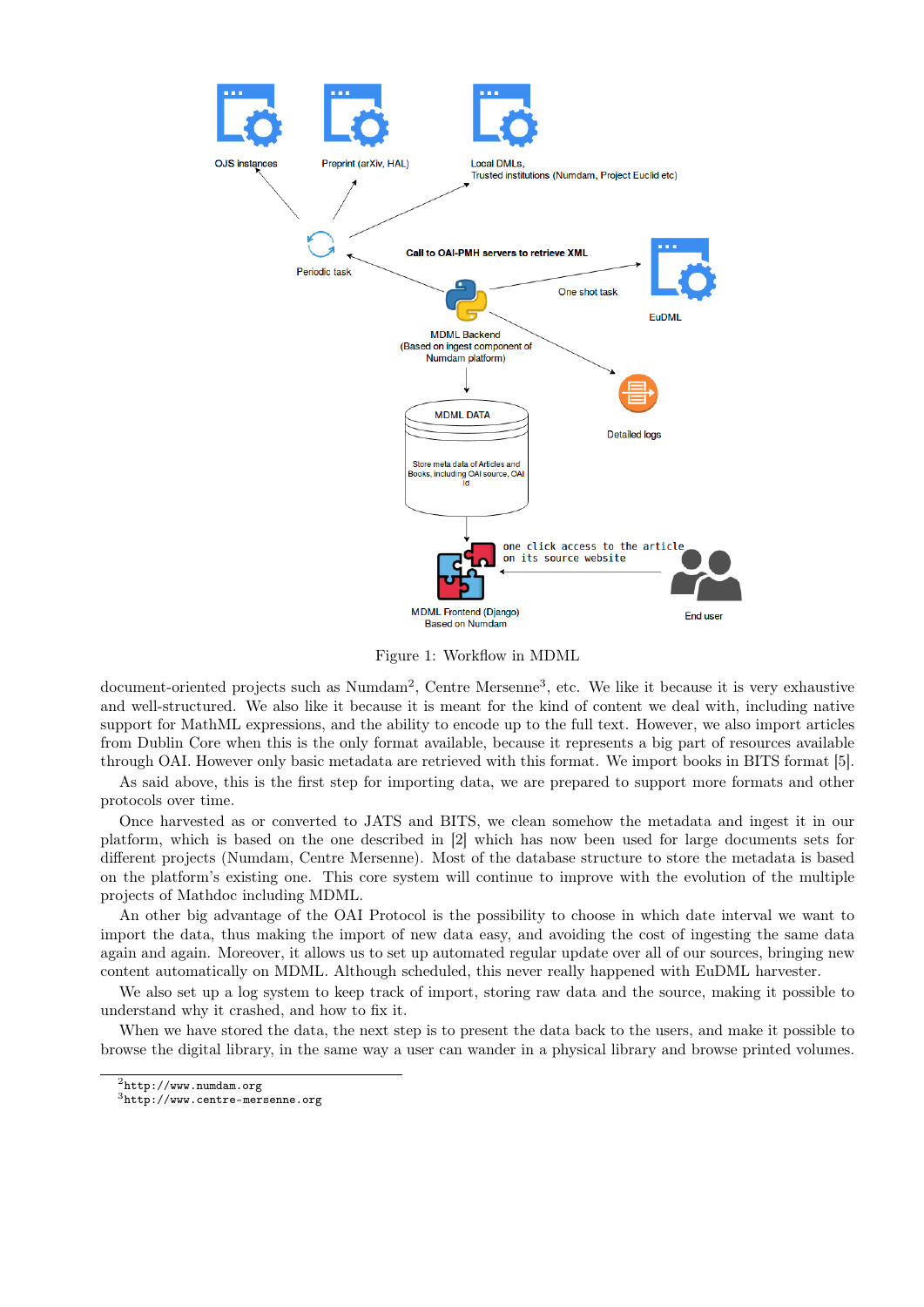

Figure 1: Workflow in MDML

document-oriented projects such as Numdam<sup>2</sup>, Centre Mersenne<sup>3</sup>, etc. We like it because it is very exhaustive and well-structured. We also like it because it is meant for the kind of content we deal with, including native support for MathML expressions, and the ability to encode up to the full text. However, we also import articles from Dublin Core when this is the only format available, because it represents a big part of resources available through OAI. However only basic metadata are retrieved with this format. We import books in BITS format [5].

As said above, this is the first step for importing data, we are prepared to support more formats and other protocols over time.

Once harvested as or converted to JATS and BITS, we clean somehow the metadata and ingest it in our platform, which is based on the one described in [2] which has now been used for large documents sets for different projects (Numdam, Centre Mersenne). Most of the database structure to store the metadata is based on the platform's existing one. This core system will continue to improve with the evolution of the multiple projects of Mathdoc including MDML.

An other big advantage of the OAI Protocol is the possibility to choose in which date interval we want to import the data, thus making the import of new data easy, and avoiding the cost of ingesting the same data again and again. Moreover, it allows us to set up automated regular update over all of our sources, bringing new content automatically on MDML. Although scheduled, this never really happened with EuDML harvester.

We also set up a log system to keep track of import, storing raw data and the source, making it possible to understand why it crashed, and how to fix it.

When we have stored the data, the next step is to present the data back to the users, and make it possible to browse the digital library, in the same way a user can wander in a physical library and browse printed volumes.

 $^{2}$ http://www.numdam.org

<sup>3</sup>http://www.centre-mersenne.org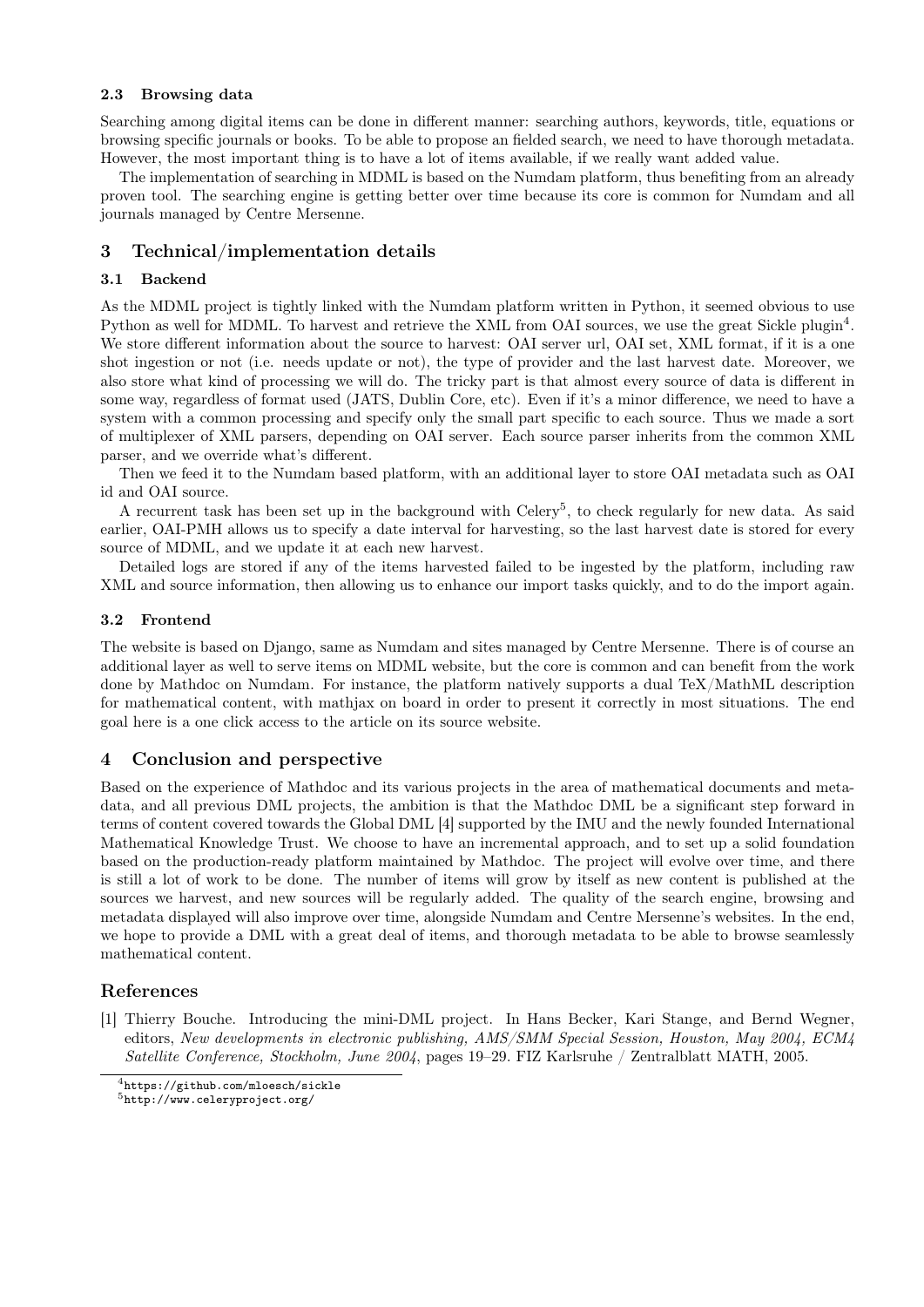#### 2.3 Browsing data

Searching among digital items can be done in different manner: searching authors, keywords, title, equations or browsing specific journals or books. To be able to propose an fielded search, we need to have thorough metadata. However, the most important thing is to have a lot of items available, if we really want added value.

The implementation of searching in MDML is based on the Numdam platform, thus benefiting from an already proven tool. The searching engine is getting better over time because its core is common for Numdam and all journals managed by Centre Mersenne.

# 3 Technical/implementation details

## 3.1 Backend

As the MDML project is tightly linked with the Numdam platform written in Python, it seemed obvious to use Python as well for MDML. To harvest and retrieve the XML from OAI sources, we use the great Sickle plugin<sup>4</sup>. We store different information about the source to harvest: OAI server url, OAI set, XML format, if it is a one shot ingestion or not (i.e. needs update or not), the type of provider and the last harvest date. Moreover, we also store what kind of processing we will do. The tricky part is that almost every source of data is different in some way, regardless of format used (JATS, Dublin Core, etc). Even if it's a minor difference, we need to have a system with a common processing and specify only the small part specific to each source. Thus we made a sort of multiplexer of XML parsers, depending on OAI server. Each source parser inherits from the common XML parser, and we override what's different.

Then we feed it to the Numdam based platform, with an additional layer to store OAI metadata such as OAI id and OAI source.

A recurrent task has been set up in the background with Celery<sup>5</sup>, to check regularly for new data. As said earlier, OAI-PMH allows us to specify a date interval for harvesting, so the last harvest date is stored for every source of MDML, and we update it at each new harvest.

Detailed logs are stored if any of the items harvested failed to be ingested by the platform, including raw XML and source information, then allowing us to enhance our import tasks quickly, and to do the import again.

#### 3.2 Frontend

The website is based on Django, same as Numdam and sites managed by Centre Mersenne. There is of course an additional layer as well to serve items on MDML website, but the core is common and can benefit from the work done by Mathdoc on Numdam. For instance, the platform natively supports a dual TeX/MathML description for mathematical content, with mathjax on board in order to present it correctly in most situations. The end goal here is a one click access to the article on its source website.

# 4 Conclusion and perspective

Based on the experience of Mathdoc and its various projects in the area of mathematical documents and metadata, and all previous DML projects, the ambition is that the Mathdoc DML be a significant step forward in terms of content covered towards the Global DML [4] supported by the IMU and the newly founded International Mathematical Knowledge Trust. We choose to have an incremental approach, and to set up a solid foundation based on the production-ready platform maintained by Mathdoc. The project will evolve over time, and there is still a lot of work to be done. The number of items will grow by itself as new content is published at the sources we harvest, and new sources will be regularly added. The quality of the search engine, browsing and metadata displayed will also improve over time, alongside Numdam and Centre Mersenne's websites. In the end, we hope to provide a DML with a great deal of items, and thorough metadata to be able to browse seamlessly mathematical content.

# References

[1] Thierry Bouche. Introducing the mini-DML project. In Hans Becker, Kari Stange, and Bernd Wegner, editors, New developments in electronic publishing, AMS/SMM Special Session, Houston, May 2004, ECM4 Satellite Conference, Stockholm, June 2004, pages 19–29. FIZ Karlsruhe / Zentralblatt MATH, 2005.

<sup>4</sup>https://github.com/mloesch/sickle

<sup>5</sup>http://www.celeryproject.org/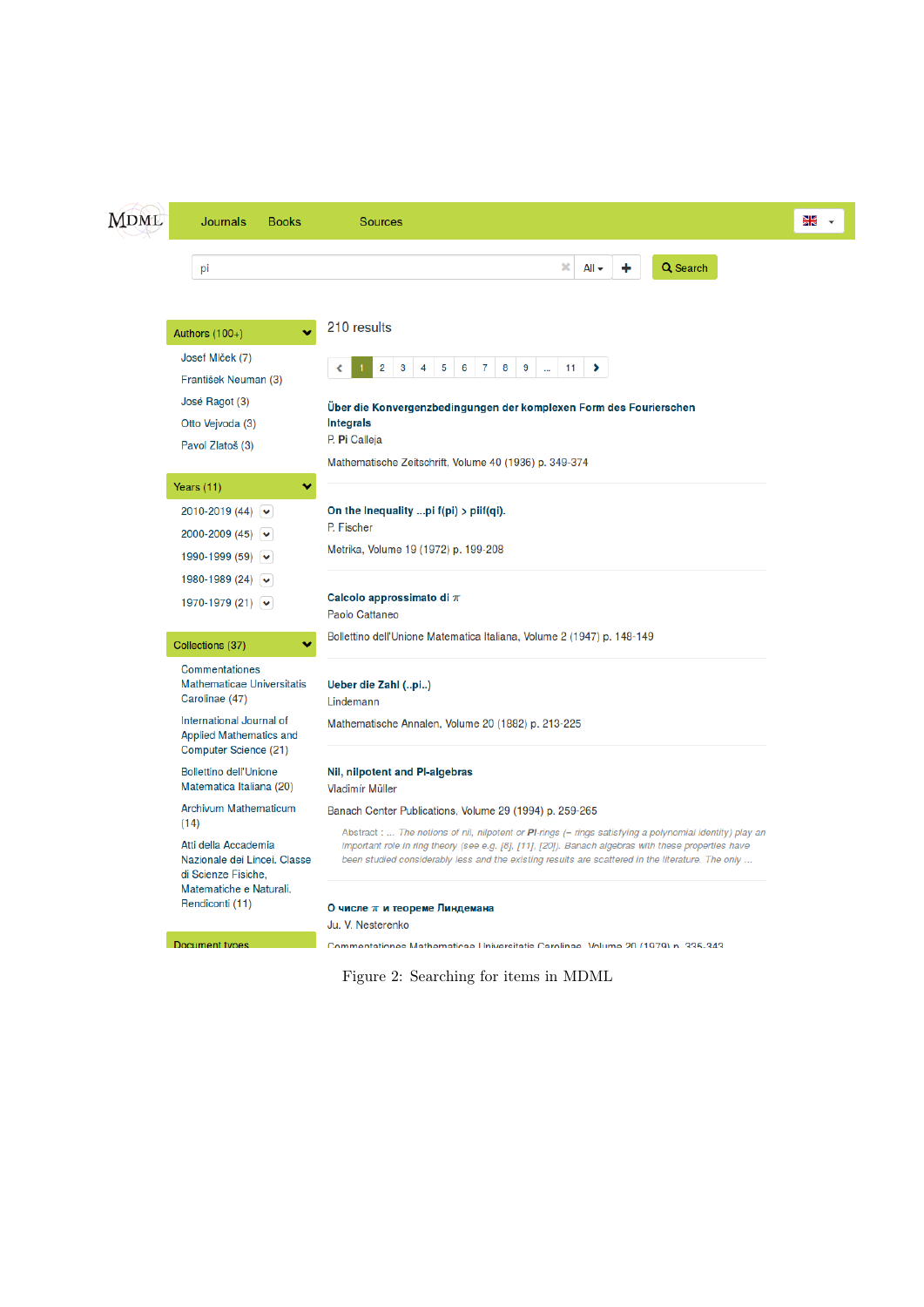| <b>MDML</b> | <b>Journals</b><br><b>Books</b>                                                                        | <b>Sources</b>                                                                                                                                                                                            | 용 |
|-------------|--------------------------------------------------------------------------------------------------------|-----------------------------------------------------------------------------------------------------------------------------------------------------------------------------------------------------------|---|
|             | pi                                                                                                     | Q Search<br>×<br>$All -$                                                                                                                                                                                  |   |
|             | Authors $(100+)$                                                                                       | 210 results                                                                                                                                                                                               |   |
|             | Josef Mlček (7)<br>František Neuman (3)<br>José Ragot (3)<br>Otto Vejvoda (3)                          | 8<br>$9^{\circ}$<br>2<br>3<br>5<br>6<br>$\overline{7}$<br>11<br>⋗<br>4<br>ă.<br>Über die Konvergenzbedingungen der komplexen Form des Fourierschen<br><b>Integrals</b><br>P. Pi Calleja                   |   |
|             | Pavol Zlatoš (3)<br>Years (11)<br>₩                                                                    | Mathematische Zeitschrift, Volume 40 (1936) p. 349-374                                                                                                                                                    |   |
|             | 2010-2019 (44) $\triangleright$<br>2000-2009 (45) $\vee$<br>1990-1999 (59) $\triangleright$            | On the Inequality pi $f(pi)$ > piif(qi).<br>P. Fischer<br>Metrika, Volume 19 (1972) p. 199-208                                                                                                            |   |
|             | 1980-1989 (24) $\sqrt{ }$<br>1970-1979 (21) $\blacktriangleright$                                      | Calcolo approssimato di $\pi$<br>Paolo Cattaneo                                                                                                                                                           |   |
|             | Collections (37)<br>v                                                                                  | Bollettino dell'Unione Matematica Italiana, Volume 2 (1947) p. 148-149                                                                                                                                    |   |
|             | <b>Commentationes</b><br><b>Mathematicae Universitatis</b><br>Carolinae (47)                           | Ueber die Zahl (pi)<br>Lindemann                                                                                                                                                                          |   |
|             | International Journal of<br><b>Applied Mathematics and</b><br>Computer Science (21)                    | Mathematische Annalen, Volume 20 (1882) p. 213-225                                                                                                                                                        |   |
|             | <b>Bollettino dell'Unione</b><br>Matematica Italiana (20)                                              | Nil, nilpotent and PI-algebras<br>Vladimír Müller                                                                                                                                                         |   |
|             | <b>Archivum Mathematicum</b><br>(14)                                                                   | Banach Center Publications, Volume 29 (1994) p. 259-265<br>Abstract :  The notions of nil, nilpotent or PI-rings (= rings satisfying a polynomial identity) play an                                       |   |
|             | Atti della Accademia<br>Nazionale dei Lincei. Classe<br>di Scienze Fisiche.<br>Matematiche e Naturali. | important role in ring theory (see e.g. [8], [11], [20]). Banach algebras with these properties have<br>been studied considerably less and the existing results are scattered in the literature. The only |   |
|             | Rendiconti (11)                                                                                        | О числе $\pi$ и теореме Линдемана<br>Ju. V. Nesterenko                                                                                                                                                    |   |

Document types

Figure 2: Searching for items in MDML

Commentationes Mathematicae Universitatis Carolinae Volume 20 (1979) n. 335-343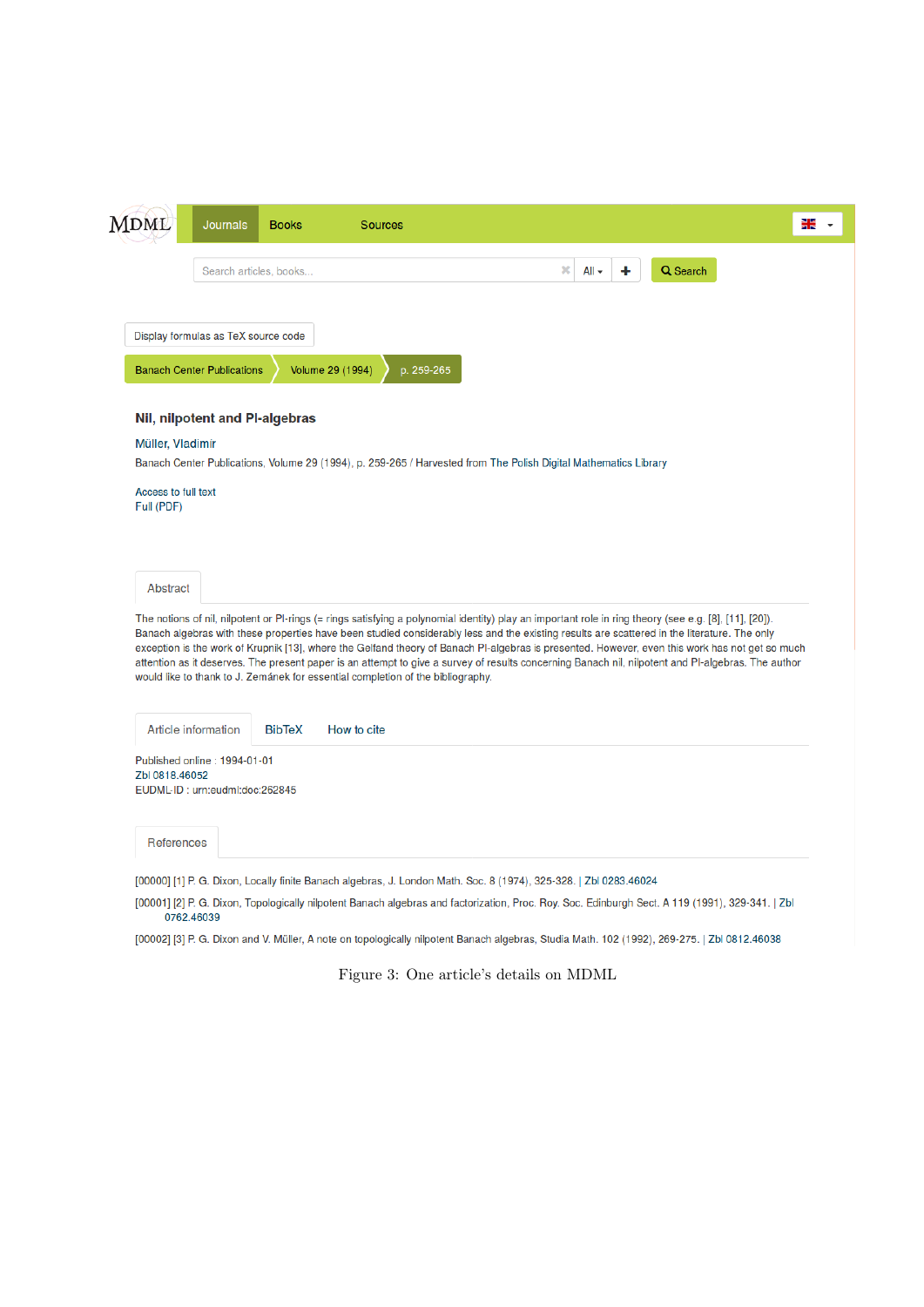| MDML                              | Journals                                                       | <b>Books</b>                   | <b>Sources</b>                                                                                                                                                                                                                                                                                                                                                                                                                                                                                                                                                                                                                                                                                     |              |   |          | N X<br>A R |
|-----------------------------------|----------------------------------------------------------------|--------------------------------|----------------------------------------------------------------------------------------------------------------------------------------------------------------------------------------------------------------------------------------------------------------------------------------------------------------------------------------------------------------------------------------------------------------------------------------------------------------------------------------------------------------------------------------------------------------------------------------------------------------------------------------------------------------------------------------------------|--------------|---|----------|------------|
|                                   |                                                                | Search articles, books         |                                                                                                                                                                                                                                                                                                                                                                                                                                                                                                                                                                                                                                                                                                    | ×<br>$All -$ | ٠ | Q Search |            |
|                                   | Display formulas as TeX source code                            |                                |                                                                                                                                                                                                                                                                                                                                                                                                                                                                                                                                                                                                                                                                                                    |              |   |          |            |
|                                   | <b>Banach Center Publications</b>                              |                                | Volume 29 (1994)<br>p. 259-265                                                                                                                                                                                                                                                                                                                                                                                                                                                                                                                                                                                                                                                                     |              |   |          |            |
|                                   |                                                                | Nil, nilpotent and PI-algebras |                                                                                                                                                                                                                                                                                                                                                                                                                                                                                                                                                                                                                                                                                                    |              |   |          |            |
| Müller, Vladimír                  |                                                                |                                |                                                                                                                                                                                                                                                                                                                                                                                                                                                                                                                                                                                                                                                                                                    |              |   |          |            |
|                                   |                                                                |                                | Banach Center Publications, Volume 29 (1994), p. 259-265 / Harvested from The Polish Digital Mathematics Library                                                                                                                                                                                                                                                                                                                                                                                                                                                                                                                                                                                   |              |   |          |            |
| Access to full text<br>Full (PDF) |                                                                |                                |                                                                                                                                                                                                                                                                                                                                                                                                                                                                                                                                                                                                                                                                                                    |              |   |          |            |
| Abstract                          |                                                                |                                |                                                                                                                                                                                                                                                                                                                                                                                                                                                                                                                                                                                                                                                                                                    |              |   |          |            |
|                                   |                                                                |                                | The notions of nil, nilpotent or PI-rings (= rings satisfying a polynomial identity) play an important role in ring theory (see e.g. [8], [11], [20]).<br>Banach algebras with these properties have been studied considerably less and the existing results are scattered in the literature. The only<br>exception is the work of Krupnik [13], where the Gelfand theory of Banach PI-algebras is presented. However, even this work has not get so much<br>attention as it deserves. The present paper is an attempt to give a survey of results concerning Banach nil, nilpotent and PI-algebras. The author<br>would like to thank to J. Zemánek for essential completion of the bibliography. |              |   |          |            |
|                                   | <b>Article information</b>                                     | <b>BibTeX</b>                  | How to cite                                                                                                                                                                                                                                                                                                                                                                                                                                                                                                                                                                                                                                                                                        |              |   |          |            |
| Zbl 0818,46052                    | Published online: 1994-01-01<br>EUDML-ID: urn:eudml:doc:262845 |                                |                                                                                                                                                                                                                                                                                                                                                                                                                                                                                                                                                                                                                                                                                                    |              |   |          |            |
| <b>References</b>                 |                                                                |                                |                                                                                                                                                                                                                                                                                                                                                                                                                                                                                                                                                                                                                                                                                                    |              |   |          |            |
|                                   |                                                                |                                |                                                                                                                                                                                                                                                                                                                                                                                                                                                                                                                                                                                                                                                                                                    |              |   |          |            |
|                                   |                                                                |                                | [00000] [1] P. G. Dixon, Locally finite Banach algebras, J. London Math. Soc. 8 (1974), 325-328.   Zbl 0283.46024                                                                                                                                                                                                                                                                                                                                                                                                                                                                                                                                                                                  |              |   |          |            |

[00002] [3] P. G. Dixon and V. Müller, A note on topologically nilpotent Banach algebras, Studia Math. 102 (1992), 269-275. | Zbl 0812.46038

Figure 3: One article's details on MDML